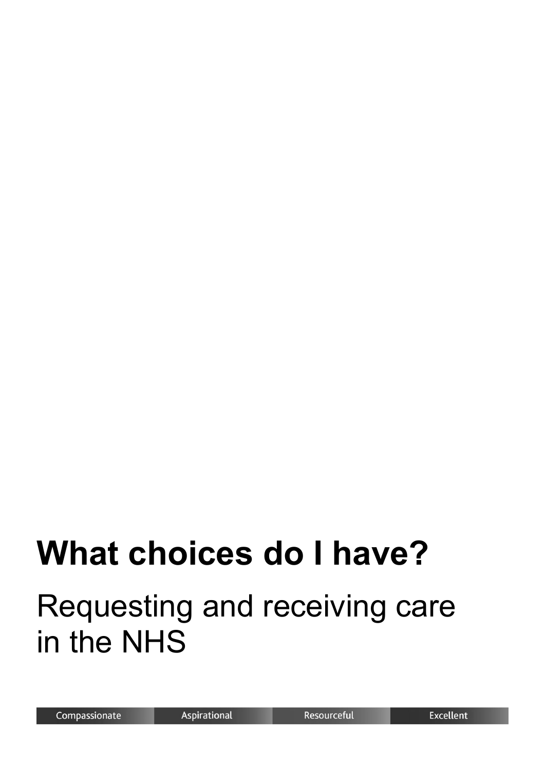# **What choices do I have?**

## Requesting and receiving care in the NHS

Resourceful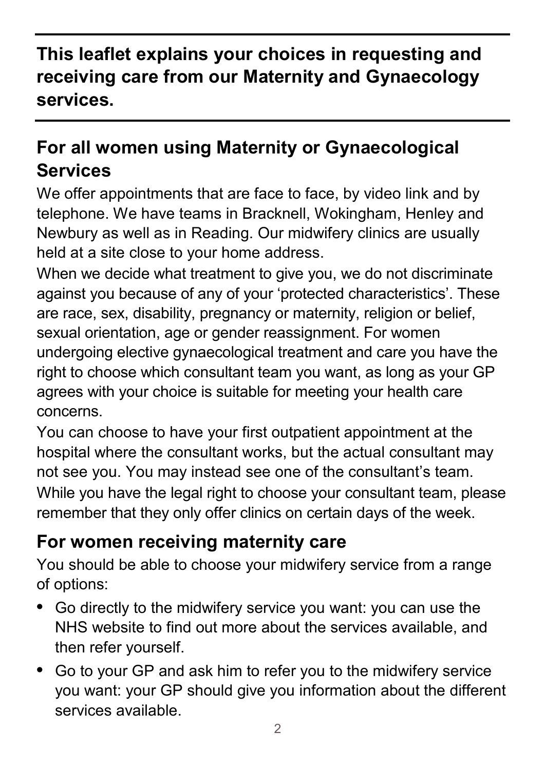#### **This leaflet explains your choices in requesting and receiving care from our Maternity and Gynaecology services.**

#### **For all women using Maternity or Gynaecological Services**

We offer appointments that are face to face, by video link and by telephone. We have teams in Bracknell, Wokingham, Henley and Newbury as well as in Reading. Our midwifery clinics are usually held at a site close to your home address.

When we decide what treatment to give you, we do not discriminate against you because of any of your 'protected characteristics'. These are race, sex, disability, pregnancy or maternity, religion or belief, sexual orientation, age or gender reassignment. For women undergoing elective gynaecological treatment and care you have the right to choose which consultant team you want, as long as your GP agrees with your choice is suitable for meeting your health care concerns.

You can choose to have your first outpatient appointment at the hospital where the consultant works, but the actual consultant may not see you. You may instead see one of the consultant's team. While you have the legal right to choose your consultant team, please remember that they only offer clinics on certain days of the week.

#### **For women receiving maternity care**

You should be able to choose your midwifery service from a range of options:

- **•** Go directly to the midwifery service you want: you can use the NHS website to find out more about the services available, and then refer yourself.
- **•** Go to your GP and ask him to refer you to the midwifery service you want: your GP should give you information about the different services available.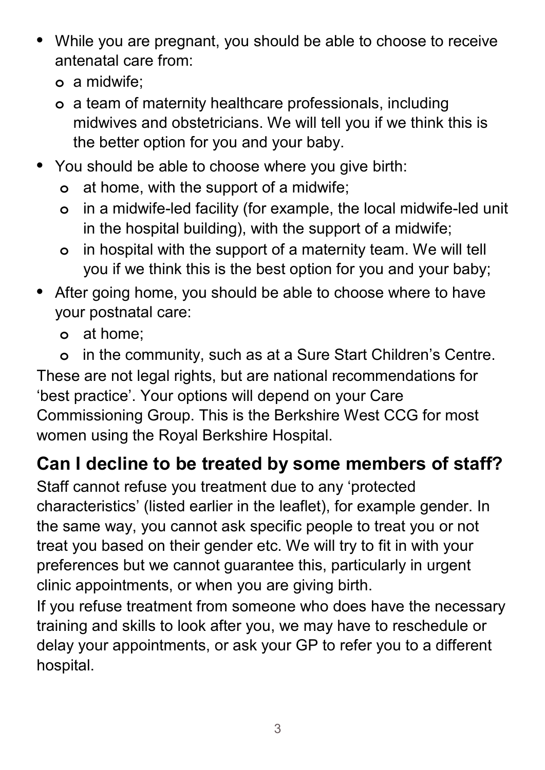- **•** While you are pregnant, you should be able to choose to receive antenatal care from:
	- **o** a midwife;
	- **o** a team of maternity healthcare professionals, including midwives and obstetricians. We will tell you if we think this is the better option for you and your baby.
- **•** You should be able to choose where you give birth:
	- **o** at home, with the support of a midwife;
	- **o** in a midwife-led facility (for example, the local midwife-led unit in the hospital building), with the support of a midwife;
	- **o** in hospital with the support of a maternity team. We will tell you if we think this is the best option for you and your baby;
- **•** After going home, you should be able to choose where to have your postnatal care:
	- **o** at home;
- **o** in the community, such as at a Sure Start Children's Centre. These are not legal rights, but are national recommendations for 'best practice'. Your options will depend on your Care Commissioning Group. This is the Berkshire West CCG for most women using the Royal Berkshire Hospital.

### **Can I decline to be treated by some members of staff?**

Staff cannot refuse you treatment due to any 'protected characteristics' (listed earlier in the leaflet), for example gender. In the same way, you cannot ask specific people to treat you or not treat you based on their gender etc. We will try to fit in with your preferences but we cannot guarantee this, particularly in urgent clinic appointments, or when you are giving birth.

If you refuse treatment from someone who does have the necessary training and skills to look after you, we may have to reschedule or delay your appointments, or ask your GP to refer you to a different hospital.